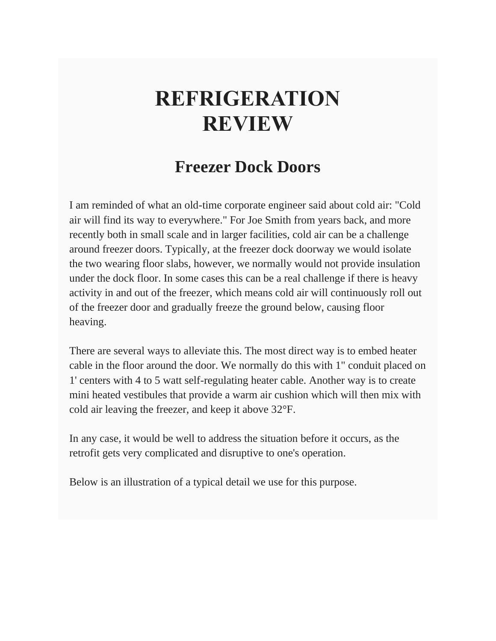## **REFRIGERATION REVIEW**

## **Freezer Dock Doors**

I am reminded of what an old-time corporate engineer said about cold air: "Cold air will find its way to everywhere." For Joe Smith from years back, and more recently both in small scale and in larger facilities, cold air can be a challenge around freezer doors. Typically, at the freezer dock doorway we would isolate the two wearing floor slabs, however, we normally would not provide insulation under the dock floor. In some cases this can be a real challenge if there is heavy activity in and out of the freezer, which means cold air will continuously roll out of the freezer door and gradually freeze the ground below, causing floor heaving.

There are several ways to alleviate this. The most direct way is to embed heater cable in the floor around the door. We normally do this with 1" conduit placed on 1' centers with 4 to 5 watt self-regulating heater cable. Another way is to create mini heated vestibules that provide a warm air cushion which will then mix with cold air leaving the freezer, and keep it above 32°F.

In any case, it would be well to address the situation before it occurs, as the retrofit gets very complicated and disruptive to one's operation.

Below is an illustration of a typical detail we use for this purpose.